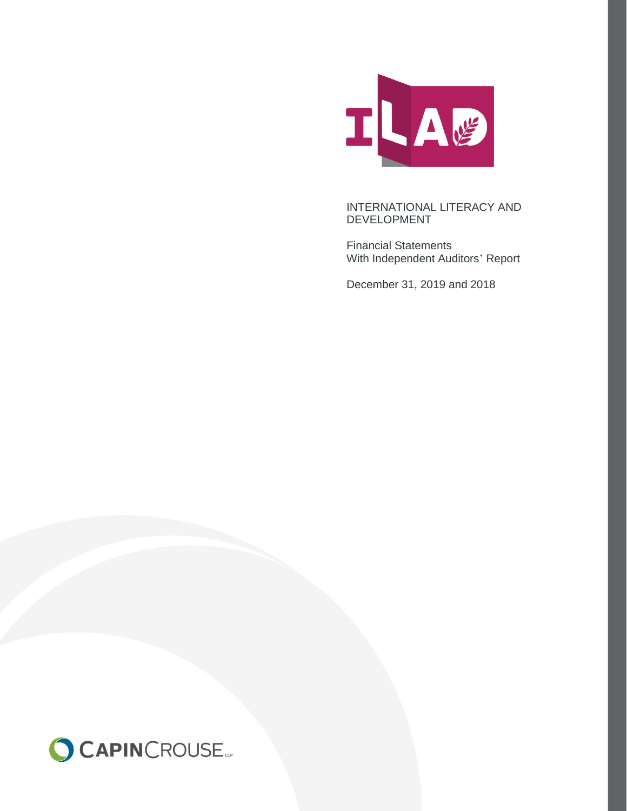

Financial Statements With Independent Auditors' Report

December 31, 2019 and 2018

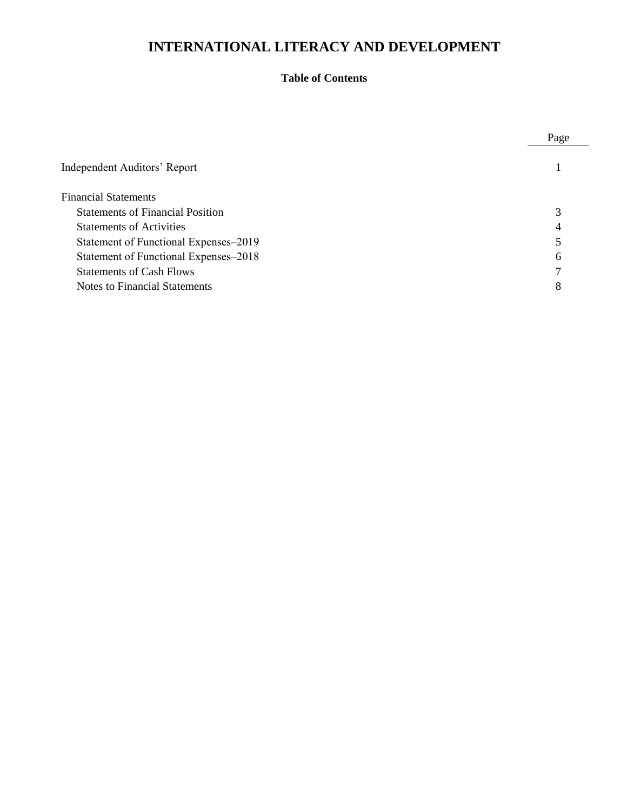# **Table of Contents**

|                                         | Page |
|-----------------------------------------|------|
| Independent Auditors' Report            |      |
| <b>Financial Statements</b>             |      |
| <b>Statements of Financial Position</b> | 3    |
| <b>Statements of Activities</b>         | 4    |
| Statement of Functional Expenses–2019   |      |
| Statement of Functional Expenses-2018   | 6    |
| <b>Statements of Cash Flows</b>         | ⇁    |
| Notes to Financial Statements           | 8    |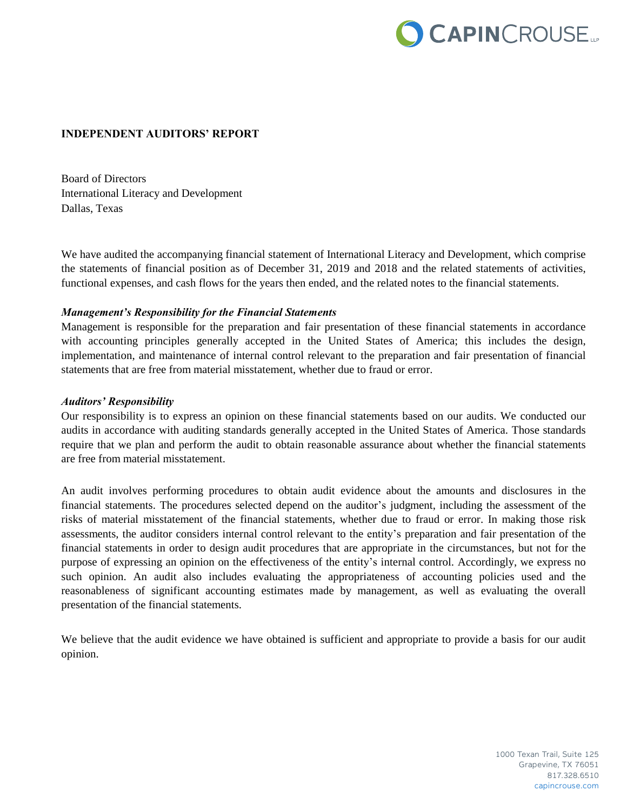

#### **INDEPENDENT AUDITORS' REPORT**

Board of Directors International Literacy and Development Dallas, Texas

We have audited the accompanying financial statement of International Literacy and Development, which comprise the statements of financial position as of December 31, 2019 and 2018 and the related statements of activities, functional expenses, and cash flows for the years then ended, and the related notes to the financial statements.

#### *Management's Responsibility for the Financial Statements*

Management is responsible for the preparation and fair presentation of these financial statements in accordance with accounting principles generally accepted in the United States of America; this includes the design, implementation, and maintenance of internal control relevant to the preparation and fair presentation of financial statements that are free from material misstatement, whether due to fraud or error.

#### *Auditors' Responsibility*

Our responsibility is to express an opinion on these financial statements based on our audits. We conducted our audits in accordance with auditing standards generally accepted in the United States of America. Those standards require that we plan and perform the audit to obtain reasonable assurance about whether the financial statements are free from material misstatement.

An audit involves performing procedures to obtain audit evidence about the amounts and disclosures in the financial statements. The procedures selected depend on the auditor's judgment, including the assessment of the risks of material misstatement of the financial statements, whether due to fraud or error. In making those risk assessments, the auditor considers internal control relevant to the entity's preparation and fair presentation of the financial statements in order to design audit procedures that are appropriate in the circumstances, but not for the purpose of expressing an opinion on the effectiveness of the entity's internal control. Accordingly, we express no such opinion. An audit also includes evaluating the appropriateness of accounting policies used and the reasonableness of significant accounting estimates made by management, as well as evaluating the overall presentation of the financial statements.

We believe that the audit evidence we have obtained is sufficient and appropriate to provide a basis for our audit opinion.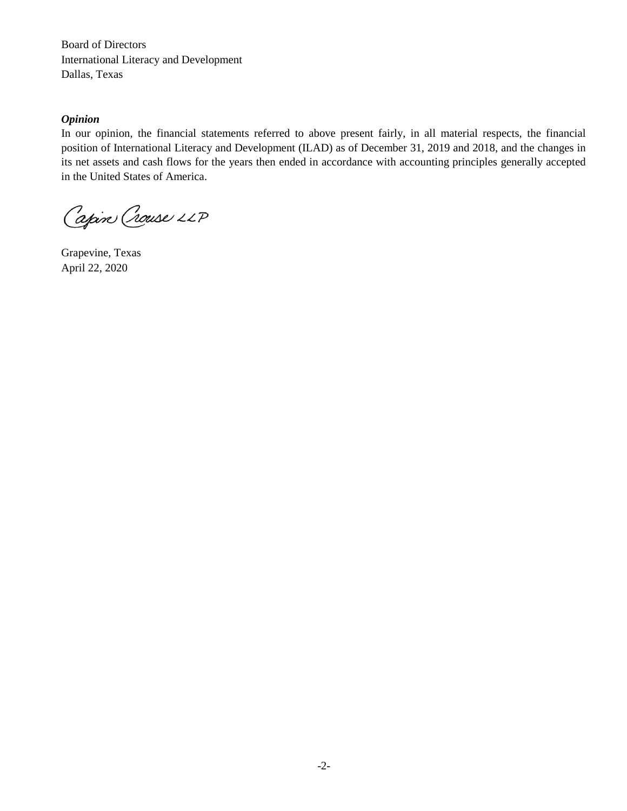Board of Directors International Literacy and Development Dallas, Texas

#### *Opinion*

In our opinion, the financial statements referred to above present fairly, in all material respects, the financial position of International Literacy and Development (ILAD) as of December 31, 2019 and 2018, and the changes in its net assets and cash flows for the years then ended in accordance with accounting principles generally accepted in the United States of America.

Capin Crouse LLP

Grapevine, Texas April 22, 2020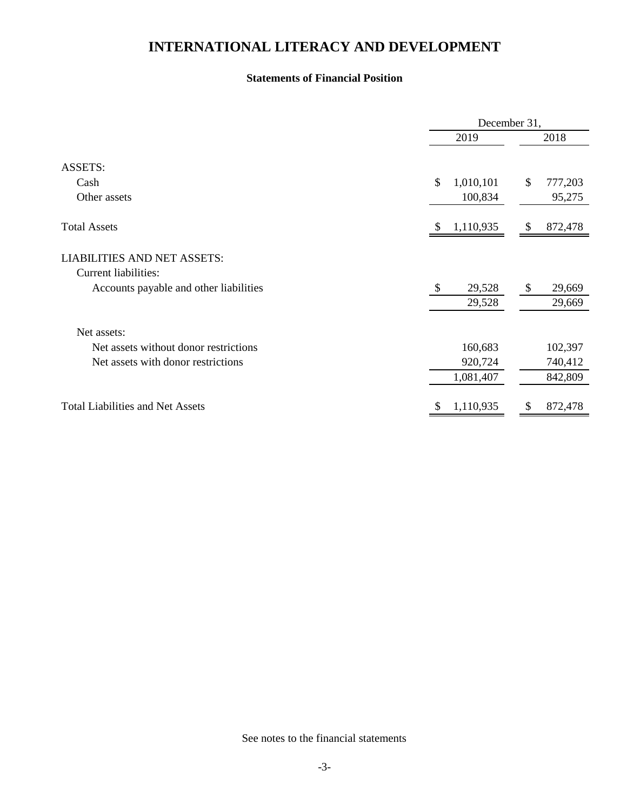### **Statements of Financial Position**

|                                                            |      | December 31,    |         |  |  |  |
|------------------------------------------------------------|------|-----------------|---------|--|--|--|
|                                                            | 2019 |                 | 2018    |  |  |  |
| <b>ASSETS:</b>                                             |      |                 |         |  |  |  |
| Cash                                                       | \$   | 1,010,101<br>\$ | 777,203 |  |  |  |
| Other assets                                               |      | 100,834         | 95,275  |  |  |  |
| <b>Total Assets</b>                                        | \$   | 1,110,935<br>\$ | 872,478 |  |  |  |
| <b>LIABILITIES AND NET ASSETS:</b><br>Current liabilities: |      |                 |         |  |  |  |
| Accounts payable and other liabilities                     | -S   | 29,528<br>\$    | 29,669  |  |  |  |
|                                                            |      | 29,528          | 29,669  |  |  |  |
| Net assets:                                                |      |                 |         |  |  |  |
| Net assets without donor restrictions                      |      | 160,683         | 102,397 |  |  |  |
| Net assets with donor restrictions                         |      | 920,724         | 740,412 |  |  |  |
|                                                            |      | 1,081,407       | 842,809 |  |  |  |
| <b>Total Liabilities and Net Assets</b>                    | S    | 1,110,935<br>S  | 872,478 |  |  |  |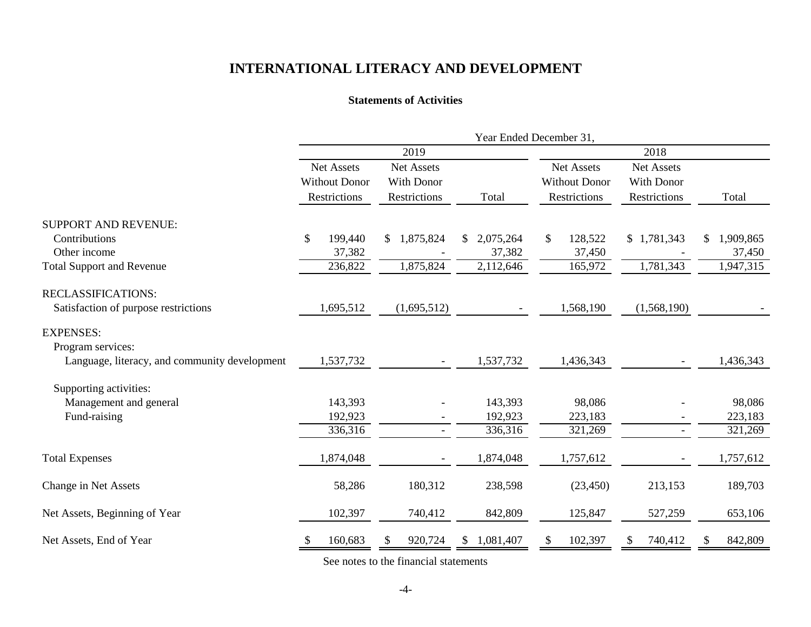#### **Statements of Activities**

|                                               | Year Ended December 31,  |                   |                  |                      |                          |           |  |  |  |  |
|-----------------------------------------------|--------------------------|-------------------|------------------|----------------------|--------------------------|-----------|--|--|--|--|
|                                               |                          | 2019              |                  | 2018                 |                          |           |  |  |  |  |
|                                               | Net Assets               | Net Assets        |                  | Net Assets           | Net Assets               |           |  |  |  |  |
|                                               | <b>Without Donor</b>     | <b>With Donor</b> |                  | <b>Without Donor</b> | <b>With Donor</b>        |           |  |  |  |  |
|                                               | Restrictions             | Restrictions      | Total            | Restrictions         | Restrictions             | Total     |  |  |  |  |
| <b>SUPPORT AND REVENUE:</b>                   |                          |                   |                  |                      |                          |           |  |  |  |  |
| Contributions                                 | $\mathcal{S}$<br>199,440 | 1,875,824<br>\$   | 2,075,264<br>\$  | \$<br>128,522        | \$1,781,343              | 1,909,865 |  |  |  |  |
| Other income                                  | 37,382                   |                   | 37,382           | 37,450               |                          | 37,450    |  |  |  |  |
| <b>Total Support and Revenue</b>              | 236,822                  | 1,875,824         | 2,112,646        | 165,972              | 1,781,343                | 1,947,315 |  |  |  |  |
| <b>RECLASSIFICATIONS:</b>                     |                          |                   |                  |                      |                          |           |  |  |  |  |
| Satisfaction of purpose restrictions          | 1,695,512                | (1,695,512)       |                  | 1,568,190            | (1,568,190)              |           |  |  |  |  |
| <b>EXPENSES:</b>                              |                          |                   |                  |                      |                          |           |  |  |  |  |
| Program services:                             |                          |                   |                  |                      |                          |           |  |  |  |  |
| Language, literacy, and community development | 1,537,732                |                   | 1,537,732        | 1,436,343            |                          | 1,436,343 |  |  |  |  |
| Supporting activities:                        |                          |                   |                  |                      |                          |           |  |  |  |  |
| Management and general                        | 143,393                  |                   | 143,393          | 98,086               |                          | 98,086    |  |  |  |  |
| Fund-raising                                  | 192,923                  |                   | 192,923          | 223,183              |                          | 223,183   |  |  |  |  |
|                                               | 336,316                  |                   | 336,316          | 321,269              | $\overline{\phantom{0}}$ | 321,269   |  |  |  |  |
| <b>Total Expenses</b>                         | 1,874,048                |                   | 1,874,048        | 1,757,612            |                          | 1,757,612 |  |  |  |  |
| Change in Net Assets                          | 58,286                   | 180,312           | 238,598          | (23, 450)            | 213,153                  | 189,703   |  |  |  |  |
| Net Assets, Beginning of Year                 | 102,397                  | 740,412           | 842,809          | 125,847              | 527,259                  | 653,106   |  |  |  |  |
| Net Assets, End of Year                       | 160,683<br>\$            | 920,724           | 1,081,407<br>\$. | 102,397              | 740,412                  | 842,809   |  |  |  |  |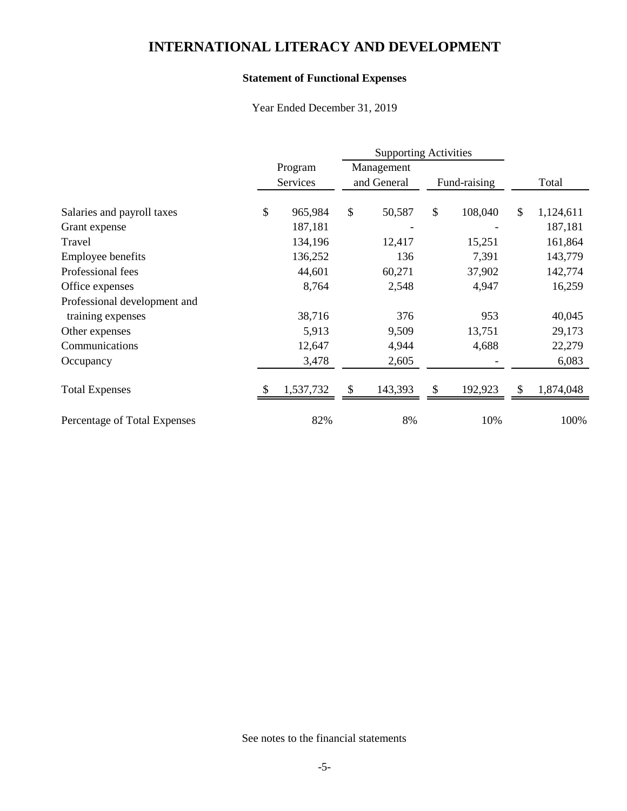## **Statement of Functional Expenses**

Year Ended December 31, 2019

|                              | Program |           | Management |             |               |              |    |           |
|------------------------------|---------|-----------|------------|-------------|---------------|--------------|----|-----------|
|                              |         | Services  |            | and General |               | Fund-raising |    | Total     |
| Salaries and payroll taxes   | \$      | 965,984   | \$         | 50,587      | $\mathcal{S}$ | 108,040      | \$ | 1,124,611 |
| Grant expense                |         | 187,181   |            |             |               |              |    | 187,181   |
| Travel                       |         | 134,196   |            | 12,417      |               | 15,251       |    | 161,864   |
| Employee benefits            |         | 136,252   |            | 136         |               | 7,391        |    | 143,779   |
| Professional fees            |         | 44,601    |            | 60,271      |               | 37,902       |    | 142,774   |
| Office expenses              |         | 8,764     |            | 2,548       |               | 4,947        |    | 16,259    |
| Professional development and |         |           |            |             |               |              |    |           |
| training expenses            |         | 38,716    |            | 376         |               | 953          |    | 40,045    |
| Other expenses               |         | 5,913     |            | 9,509       |               | 13,751       |    | 29,173    |
| Communications               |         | 12,647    |            | 4,944       |               | 4,688        |    | 22,279    |
| Occupancy                    |         | 3,478     |            | 2,605       |               |              |    | 6,083     |
| <b>Total Expenses</b>        |         | 1,537,732 | S          | 143,393     | \$.           | 192,923      | \$ | 1,874,048 |
| Percentage of Total Expenses |         | 82%       |            | 8%          |               | 10%          |    | 100%      |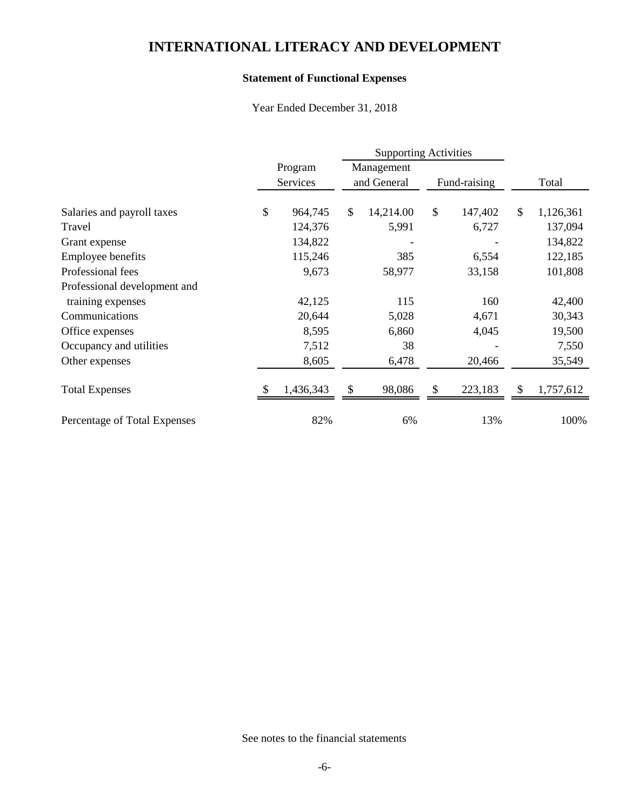## **Statement of Functional Expenses**

Year Ended December 31, 2018

|                              |    |           |    | <b>Supporting Activities</b> |    |              |    |           |
|------------------------------|----|-----------|----|------------------------------|----|--------------|----|-----------|
|                              |    | Program   |    | Management<br>and General    |    | Fund-raising |    |           |
|                              |    | Services  |    |                              |    |              |    | Total     |
| Salaries and payroll taxes   | \$ | 964,745   | \$ | 14,214.00                    | \$ | 147,402      | \$ | 1,126,361 |
| Travel                       |    | 124,376   |    | 5,991                        |    | 6,727        |    | 137,094   |
| Grant expense                |    | 134,822   |    |                              |    |              |    | 134,822   |
| Employee benefits            |    | 115,246   |    | 385                          |    | 6,554        |    | 122,185   |
| Professional fees            |    | 9,673     |    | 58,977                       |    | 33,158       |    | 101,808   |
| Professional development and |    |           |    |                              |    |              |    |           |
| training expenses            |    | 42,125    |    | 115                          |    | 160          |    | 42,400    |
| Communications               |    | 20,644    |    | 5,028                        |    | 4,671        |    | 30,343    |
| Office expenses              |    | 8,595     |    | 6,860                        |    | 4,045        |    | 19,500    |
| Occupancy and utilities      |    | 7,512     |    | 38                           |    |              |    | 7,550     |
| Other expenses               |    | 8,605     |    | 6,478                        |    | 20,466       |    | 35,549    |
| <b>Total Expenses</b>        |    | 1,436,343 | \$ | 98,086                       |    | 223,183      | \$ | 1,757,612 |
| Percentage of Total Expenses |    | 82%       |    | 6%                           |    | 13%          |    | 100%      |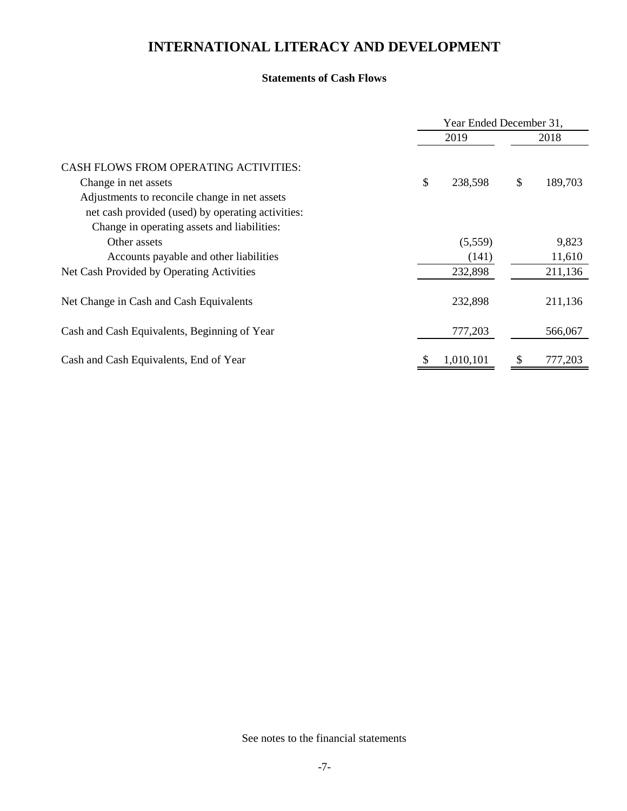#### **Statements of Cash Flows**

|                                                                                                                                                   | Year Ended December 31, |           |      |         |  |
|---------------------------------------------------------------------------------------------------------------------------------------------------|-------------------------|-----------|------|---------|--|
|                                                                                                                                                   |                         |           | 2018 |         |  |
| <b>CASH FLOWS FROM OPERATING ACTIVITIES:</b><br>Change in net assets                                                                              | \$                      | 238,598   | \$   | 189,703 |  |
| Adjustments to reconcile change in net assets<br>net cash provided (used) by operating activities:<br>Change in operating assets and liabilities: |                         |           |      |         |  |
| Other assets                                                                                                                                      |                         | (5,559)   |      | 9,823   |  |
| Accounts payable and other liabilities                                                                                                            |                         | (141)     |      | 11,610  |  |
| Net Cash Provided by Operating Activities                                                                                                         |                         | 232,898   |      | 211,136 |  |
| Net Change in Cash and Cash Equivalents                                                                                                           |                         | 232,898   |      | 211,136 |  |
| Cash and Cash Equivalents, Beginning of Year                                                                                                      |                         | 777,203   |      | 566,067 |  |
| Cash and Cash Equivalents, End of Year                                                                                                            | S                       | 1,010,101 | S    | 777,203 |  |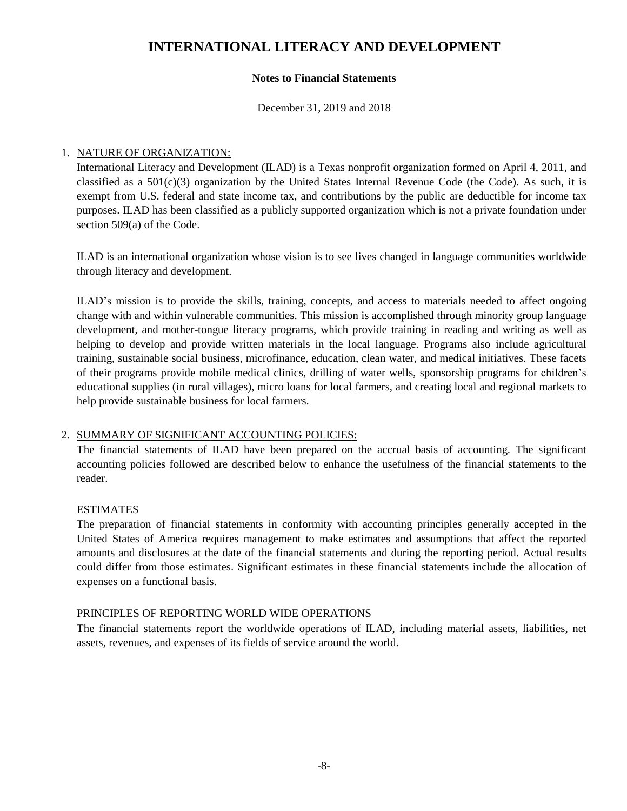### **Notes to Financial Statements**

December 31, 2019 and 2018

### 1. NATURE OF ORGANIZATION:

International Literacy and Development (ILAD) is a Texas nonprofit organization formed on April 4, 2011, and classified as a  $501(c)(3)$  organization by the United States Internal Revenue Code (the Code). As such, it is exempt from U.S. federal and state income tax, and contributions by the public are deductible for income tax purposes. ILAD has been classified as a publicly supported organization which is not a private foundation under section 509(a) of the Code.

ILAD is an international organization whose vision is to see lives changed in language communities worldwide through literacy and development.

ILAD's mission is to provide the skills, training, concepts, and access to materials needed to affect ongoing change with and within vulnerable communities. This mission is accomplished through minority group language development, and mother-tongue literacy programs, which provide training in reading and writing as well as helping to develop and provide written materials in the local language. Programs also include agricultural training, sustainable social business, microfinance, education, clean water, and medical initiatives. These facets of their programs provide mobile medical clinics, drilling of water wells, sponsorship programs for children's educational supplies (in rural villages), micro loans for local farmers, and creating local and regional markets to help provide sustainable business for local farmers.

### 2. SUMMARY OF SIGNIFICANT ACCOUNTING POLICIES:

The financial statements of ILAD have been prepared on the accrual basis of accounting. The significant accounting policies followed are described below to enhance the usefulness of the financial statements to the reader.

### **ESTIMATES**

The preparation of financial statements in conformity with accounting principles generally accepted in the United States of America requires management to make estimates and assumptions that affect the reported amounts and disclosures at the date of the financial statements and during the reporting period. Actual results could differ from those estimates. Significant estimates in these financial statements include the allocation of expenses on a functional basis.

#### PRINCIPLES OF REPORTING WORLD WIDE OPERATIONS

The financial statements report the worldwide operations of ILAD, including material assets, liabilities, net assets, revenues, and expenses of its fields of service around the world.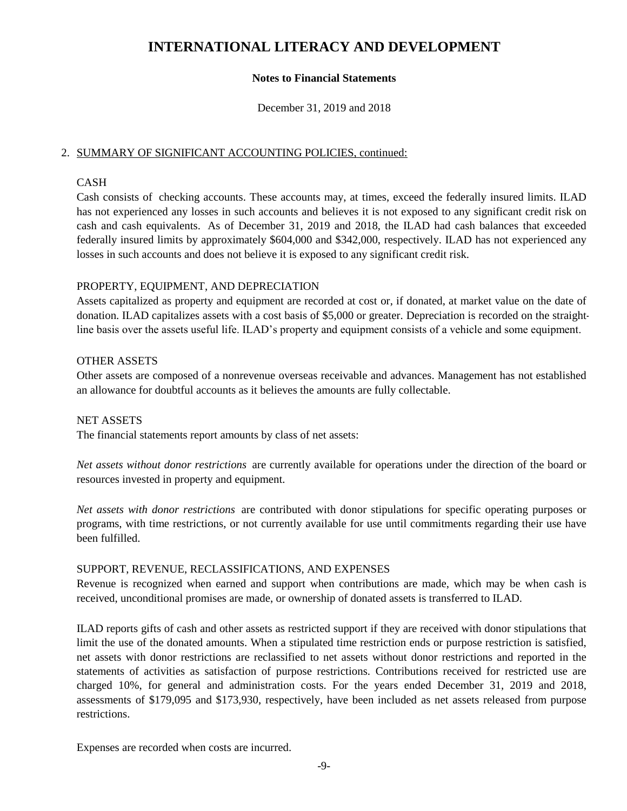### **Notes to Financial Statements**

December 31, 2019 and 2018

### 2. SUMMARY OF SIGNIFICANT ACCOUNTING POLICIES, continued:

### CASH

Cash consists of checking accounts. These accounts may, at times, exceed the federally insured limits. ILAD has not experienced any losses in such accounts and believes it is not exposed to any significant credit risk on cash and cash equivalents. As of December 31, 2019 and 2018, the ILAD had cash balances that exceeded federally insured limits by approximately \$604,000 and \$342,000, respectively. ILAD has not experienced any losses in such accounts and does not believe it is exposed to any significant credit risk.

### PROPERTY, EQUIPMENT, AND DEPRECIATION

Assets capitalized as property and equipment are recorded at cost or, if donated, at market value on the date of donation. ILAD capitalizes assets with a cost basis of \$5,000 or greater. Depreciation is recorded on the straightline basis over the assets useful life. ILAD's property and equipment consists of a vehicle and some equipment.

### OTHER ASSETS

Other assets are composed of a nonrevenue overseas receivable and advances. Management has not established an allowance for doubtful accounts as it believes the amounts are fully collectable.

#### NET ASSETS

The financial statements report amounts by class of net assets:

*Net assets without donor restrictions* are currently available for operations under the direction of the board or resources invested in property and equipment.

*Net assets with donor restrictions* are contributed with donor stipulations for specific operating purposes or programs, with time restrictions, or not currently available for use until commitments regarding their use have been fulfilled.

#### SUPPORT, REVENUE, RECLASSIFICATIONS, AND EXPENSES

Revenue is recognized when earned and support when contributions are made, which may be when cash is received, unconditional promises are made, or ownership of donated assets is transferred to ILAD.

ILAD reports gifts of cash and other assets as restricted support if they are received with donor stipulations that limit the use of the donated amounts. When a stipulated time restriction ends or purpose restriction is satisfied, net assets with donor restrictions are reclassified to net assets without donor restrictions and reported in the statements of activities as satisfaction of purpose restrictions. Contributions received for restricted use are charged 10%, for general and administration costs. For the years ended December 31, 2019 and 2018, assessments of \$179,095 and \$173,930, respectively, have been included as net assets released from purpose restrictions.

Expenses are recorded when costs are incurred.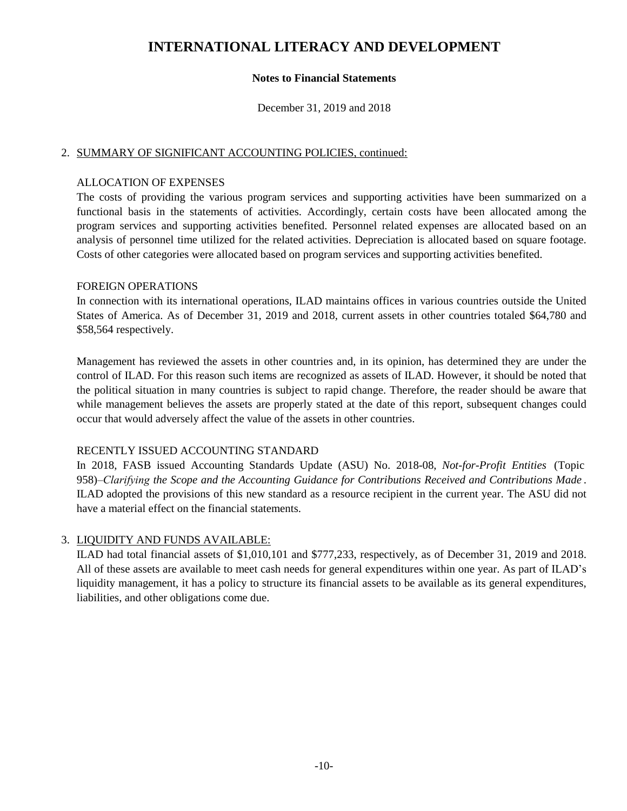### **Notes to Financial Statements**

December 31, 2019 and 2018

#### 2. SUMMARY OF SIGNIFICANT ACCOUNTING POLICIES, continued:

#### ALLOCATION OF EXPENSES

The costs of providing the various program services and supporting activities have been summarized on a functional basis in the statements of activities. Accordingly, certain costs have been allocated among the program services and supporting activities benefited. Personnel related expenses are allocated based on an analysis of personnel time utilized for the related activities. Depreciation is allocated based on square footage. Costs of other categories were allocated based on program services and supporting activities benefited.

### FOREIGN OPERATIONS

In connection with its international operations, ILAD maintains offices in various countries outside the United States of America. As of December 31, 2019 and 2018, current assets in other countries totaled \$64,780 and \$58,564 respectively.

Management has reviewed the assets in other countries and, in its opinion, has determined they are under the control of ILAD. For this reason such items are recognized as assets of ILAD. However, it should be noted that the political situation in many countries is subject to rapid change. Therefore, the reader should be aware that while management believes the assets are properly stated at the date of this report, subsequent changes could occur that would adversely affect the value of the assets in other countries.

### RECENTLY ISSUED ACCOUNTING STANDARD

In 2018, FASB issued Accounting Standards Update (ASU) No. 2018-08, *Not-for-Profit Entities* (Topic 958)*–Clarifying the Scope and the Accounting Guidance for Contributions Received and Contributions Made* . ILAD adopted the provisions of this new standard as a resource recipient in the current year. The ASU did not have a material effect on the financial statements.

### 3. LIQUIDITY AND FUNDS AVAILABLE:

ILAD had total financial assets of \$1,010,101 and \$777,233, respectively, as of December 31, 2019 and 2018. All of these assets are available to meet cash needs for general expenditures within one year. As part of ILAD's liquidity management, it has a policy to structure its financial assets to be available as its general expenditures, liabilities, and other obligations come due.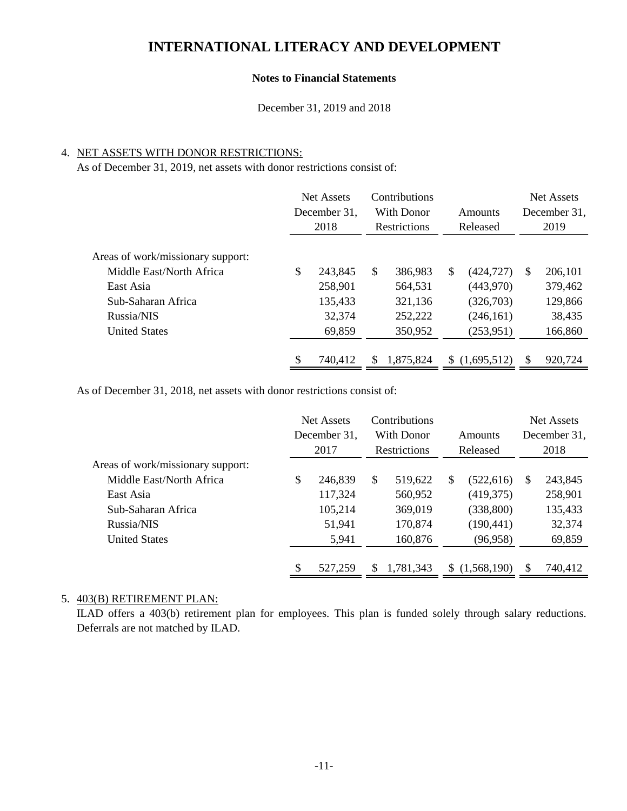#### **Notes to Financial Statements**

December 31, 2019 and 2018

### 4. NET ASSETS WITH DONOR RESTRICTIONS:

As of December 31, 2019, net assets with donor restrictions consist of:

|                                   | <b>Net Assets</b><br>December 31,<br>2018 | Contributions<br>With Donor<br><b>Restrictions</b> | Amounts<br>Released |               | Net Assets<br>December 31.<br>2019 |         |
|-----------------------------------|-------------------------------------------|----------------------------------------------------|---------------------|---------------|------------------------------------|---------|
| Areas of work/missionary support: |                                           |                                                    |                     |               |                                    |         |
| Middle East/North Africa          | \$<br>243,845                             | \$<br>386,983                                      | \$                  | (424, 727)    | <sup>\$</sup>                      | 206,101 |
| East Asia                         | 258,901                                   | 564,531                                            |                     | (443,970)     |                                    | 379,462 |
| Sub-Saharan Africa                | 135,433                                   | 321,136                                            |                     | (326,703)     |                                    | 129,866 |
| Russia/NIS                        | 32,374                                    | 252,222                                            |                     | (246, 161)    |                                    | 38,435  |
| <b>United States</b>              | 69,859                                    | 350,952                                            |                     | (253, 951)    |                                    | 166,860 |
|                                   |                                           |                                                    |                     |               |                                    |         |
|                                   | \$<br>740,412                             | \$<br>1,875,824                                    |                     | \$(1,695,512) | \$.                                | 920,724 |

As of December 31, 2018, net assets with donor restrictions consist of:

|                                   | <b>Net Assets</b><br>December 31,<br>2017 |         |    |           |    |             | Contributions<br>With Donor<br><b>Restrictions</b> |         | Amounts<br>Released |  |  |  | <b>Net Assets</b><br>December 31,<br>2018 |  |
|-----------------------------------|-------------------------------------------|---------|----|-----------|----|-------------|----------------------------------------------------|---------|---------------------|--|--|--|-------------------------------------------|--|
| Areas of work/missionary support: |                                           |         |    |           |    |             |                                                    |         |                     |  |  |  |                                           |  |
| Middle East/North Africa          | S                                         | 246,839 | \$ | 519,622   | \$ | (522, 616)  | S                                                  | 243,845 |                     |  |  |  |                                           |  |
| East Asia                         |                                           | 117,324 |    | 560,952   |    | (419,375)   |                                                    | 258,901 |                     |  |  |  |                                           |  |
| Sub-Saharan Africa                |                                           | 105,214 |    | 369,019   |    | (338, 800)  |                                                    | 135,433 |                     |  |  |  |                                           |  |
| Russia/NIS                        |                                           | 51,941  |    | 170,874   |    | (190, 441)  |                                                    | 32,374  |                     |  |  |  |                                           |  |
| <b>United States</b>              |                                           | 5,941   |    | 160,876   |    | (96, 958)   |                                                    | 69,859  |                     |  |  |  |                                           |  |
|                                   | \$                                        | 527,259 | S  | 1,781,343 |    | (1,568,190) | S                                                  | 740,412 |                     |  |  |  |                                           |  |

#### 5. 403(B) RETIREMENT PLAN:

ILAD offers a 403(b) retirement plan for employees. This plan is funded solely through salary reductions. Deferrals are not matched by ILAD.